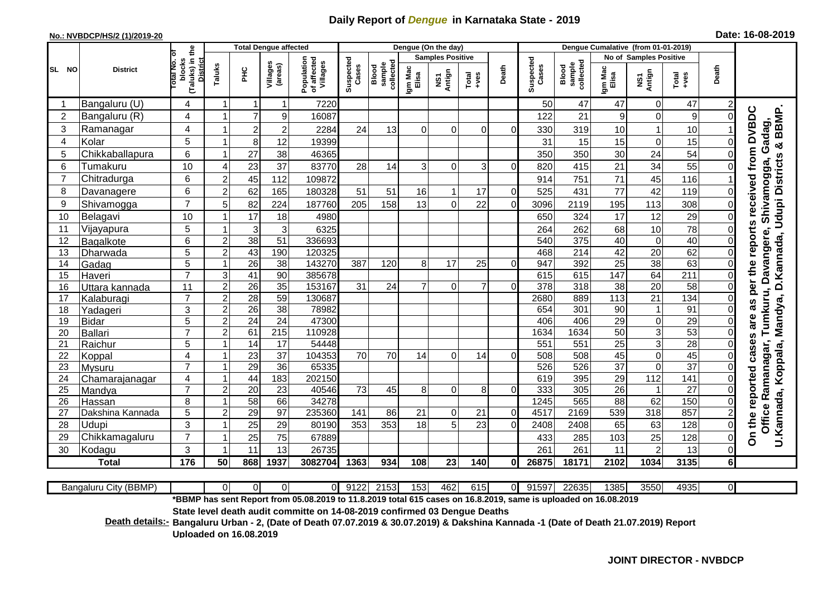## **Daily Report of** *Dengue* **in Karnataka State - 2019**

## **No.: NVBDCP/HS/2 (1)/2019-20 Date: 16-08-2019**

|                 |                       |                                                      |                |                 | <b>Total Dengue affected</b> |                                                                                                                 | Dengue (On the day) |                              |                  |                         |                  |                |                    | Dengue Cumalative (from 01-01-2019) |                   |                               |                  |                |                                                                           |  |
|-----------------|-----------------------|------------------------------------------------------|----------------|-----------------|------------------------------|-----------------------------------------------------------------------------------------------------------------|---------------------|------------------------------|------------------|-------------------------|------------------|----------------|--------------------|-------------------------------------|-------------------|-------------------------------|------------------|----------------|---------------------------------------------------------------------------|--|
|                 |                       |                                                      |                |                 |                              |                                                                                                                 |                     |                              |                  | <b>Samples Positive</b> |                  |                |                    |                                     |                   | <b>No of Samples Positive</b> |                  |                |                                                                           |  |
| SL NO           | <b>District</b>       | (Taluks) in the<br>otal No. of<br>blocks<br>District | Taluks         | <b>PHC</b>      | Villages<br>(areas)          | Population<br>of affected<br>Villages                                                                           | Suspected<br>Cases  | collectec<br>sample<br>Blood | Igm Mac<br>Elisa | Antign<br>VSV           | $Tota$<br>$+ves$ | Death          | Suspected<br>Cases | sample<br>collected<br>Blood        | Igm Mac<br>Elisa  | NS1<br>Antign                 | Total<br>+ves    | Death          |                                                                           |  |
|                 | Bangaluru (U)         | 4                                                    |                | -1              | 1                            | 7220                                                                                                            |                     |                              |                  |                         |                  |                | 50                 | 47                                  | 47                | $\overline{0}$                | 47               | 2              |                                                                           |  |
| $\overline{2}$  | Bangaluru (R)         | 4                                                    |                | $\overline{7}$  | 9                            | 16087                                                                                                           |                     |                              |                  |                         |                  |                | 122                | 21                                  | $\mathsf g$       | $\Omega$                      | 9                | 0              |                                                                           |  |
| 3               | Ramanagar             | 4                                                    |                | $\overline{2}$  | $\overline{2}$               | 2284                                                                                                            | 24                  | 13                           | $\Omega$         | $\Omega$                | $\Omega$         | ΩI             | 330                | 319                                 | 10                |                               | 10               |                | are as per the reports received from DVBDC<br>BBMP.<br>Shivamogga, Gadag, |  |
| 4               | Kolar                 | 5                                                    |                | 8               | 12                           | 19399                                                                                                           |                     |                              |                  |                         |                  |                | 31                 | 15                                  | 15                | $\Omega$                      | 15               | 0              | ×                                                                         |  |
| 5               | Chikkaballapura       | 6                                                    |                | 27              | 38                           | 46365                                                                                                           |                     |                              |                  |                         |                  |                | 350                | 350                                 | 30                | 24                            | 54               |                |                                                                           |  |
| 6               | Tumakuru              | 10                                                   | 4              | 23              | 37                           | 83770                                                                                                           | 28                  | 14                           | 3                | $\Omega$                | 3                | $\Omega$       | 820                | 415                                 | 21                | 34                            | 55               |                |                                                                           |  |
| $\overline{7}$  | Chitradurga           | 6                                                    | $\overline{c}$ | 45              | 112                          | 109872                                                                                                          |                     |                              |                  |                         |                  |                | 914                | 751                                 | 71                | 45                            | 116              |                |                                                                           |  |
| 8               | Davanagere            | 6                                                    | $\overline{2}$ | 62              | 165                          | 180328                                                                                                          | 51                  | 51                           | 16               |                         | 17               | $\Omega$       | 525                | 431                                 | 77                | 42                            | 119              | 0              | Mandya, D.Kannada, Udupi Districts                                        |  |
| 9               | Shivamogga            | $\overline{7}$                                       | 5              | 82              | 224                          | 187760                                                                                                          | 205                 | 158                          | 13               | $\mathbf 0$             | 22               | $\overline{0}$ | 3096               | 2119                                | 195               | 113                           | 308              | 0              |                                                                           |  |
| 10              | Belagavi              | 10                                                   |                | 17              | 18                           | 4980                                                                                                            |                     |                              |                  |                         |                  |                | 650                | 324                                 | 17                | 12                            | 29               | 0              |                                                                           |  |
| 11              | Vijayapura            | 5                                                    |                | $\mathbf{3}$    | 3                            | 6325                                                                                                            |                     |                              |                  |                         |                  |                | 264                | 262                                 | 68                | 10                            | $\overline{78}$  | $\Omega$       |                                                                           |  |
| 12              | Bagalkote             | 6                                                    | $\overline{2}$ | 38              | 51                           | 336693                                                                                                          |                     |                              |                  |                         |                  |                | 540                | 375                                 | 40                | $\Omega$                      | 40               | $\Omega$       | Tumkuru, Davangere,                                                       |  |
| 13              | Dharwada              | 5                                                    | $\overline{2}$ | 43              | 190                          | 120325                                                                                                          |                     |                              |                  |                         |                  |                | 468                | $\overline{214}$                    | 42                | 20                            | 62               | 0              |                                                                           |  |
| 14              | Gadag                 | $\overline{5}$                                       |                | $\overline{26}$ | $\overline{38}$              | 143270                                                                                                          | 387                 | 120                          | 8                | 17                      | 25               | $\Omega$       | 947                | 392                                 | $\overline{25}$   | 38                            | 63               | 0              |                                                                           |  |
| 15              | Haveri                | $\overline{7}$                                       | 3              | 41              | 90                           | 385678                                                                                                          |                     |                              |                  |                         |                  |                | 615                | 615                                 | $\frac{147}{147}$ | 64                            | $\overline{211}$ | 0              |                                                                           |  |
| 16              | Uttara kannada        | 11                                                   | $\overline{2}$ | $\overline{26}$ | $\overline{35}$              | 153167                                                                                                          | 31                  | 24                           | $\overline{7}$   | $\Omega$                | $\overline{7}$   | $\Omega$       | 378                | $\overline{318}$                    | $\overline{38}$   | $\overline{20}$               | 58               | $\Omega$       |                                                                           |  |
| 17              | Kalaburagi            | $\overline{7}$                                       | $\overline{c}$ | $\overline{28}$ | 59                           | 130687                                                                                                          |                     |                              |                  |                         |                  |                | 2680               | 889                                 | 113               | 21                            | 134              | $\Omega$       |                                                                           |  |
| 18              | Yadageri              | 3                                                    | $\overline{2}$ | 26              | $\overline{38}$              | 78982                                                                                                           |                     |                              |                  |                         |                  |                | 654                | 301                                 | 90                | $\mathbf{1}$                  | 91               | $\Omega$       |                                                                           |  |
| 19              | <b>Bidar</b>          | $\overline{5}$                                       | $\overline{2}$ | 24              | $\overline{24}$              | 47300                                                                                                           |                     |                              |                  |                         |                  |                | 406                | 406                                 | 29                | $\overline{0}$                | 29               | $\Omega$       |                                                                           |  |
| 20              | <b>Ballari</b>        | $\overline{7}$                                       | $\overline{c}$ | 61              | 215                          | 110928                                                                                                          |                     |                              |                  |                         |                  |                | 1634               | 1634                                | 50                | 3 <sup>1</sup>                | 53               | 0              |                                                                           |  |
| 21              | Raichur               | 5                                                    |                | 14              | $\overline{17}$              | 54448                                                                                                           |                     |                              |                  |                         |                  |                | 551                | 551                                 | 25                | $\overline{3}$                | 28               | $\Omega$       |                                                                           |  |
| 22              | Koppal                | 4                                                    |                | $\overline{23}$ | 37                           | 104353                                                                                                          | 70                  | 70                           | 14               | $\Omega$                | 14               | $\Omega$       | 508                | 508                                 | 45                | $\mathbf 0$                   | 45               | 0              |                                                                           |  |
| 23              | Mysuru                | $\overline{7}$                                       |                | 29              | 36                           | 65335                                                                                                           |                     |                              |                  |                         |                  |                | 526                | 526                                 | $\overline{37}$   | $\mathbf 0$                   | $\overline{37}$  | $\Omega$       |                                                                           |  |
| 24              | Chamarajanagar        | 4                                                    |                | 44              | 183                          | 202150                                                                                                          |                     |                              |                  |                         |                  |                | 619                | 395                                 | 29                | $\frac{11}{2}$                | 141              | 0              |                                                                           |  |
| $\overline{25}$ | Mandya                | $\overline{7}$                                       | 2              | $\overline{20}$ | 23                           | 40546                                                                                                           | $\overline{73}$     | 45                           | 8                | $\mathbf 0$             | 8                | $\Omega$       | 333                | 305                                 | $\overline{26}$   | $\overline{1}$                | 27               | $\Omega$       |                                                                           |  |
| 26              | Hassan                | 8                                                    |                | 58              | 66                           | 34278                                                                                                           |                     |                              |                  |                         |                  |                | 1245               | 565                                 | 88                | 62                            | 150              | $\Omega$       |                                                                           |  |
| 27              | Dakshina Kannada      | 5                                                    | 2              | $\overline{29}$ | $\overline{97}$              | 235360                                                                                                          | 141                 | 86                           | 21               | $\Omega$                | 21               | $\Omega$       | 4517               | 2169                                | 539               | $\overline{318}$              | 857              | $\overline{c}$ | Office Ramanagar,                                                         |  |
| 28              | Udupi                 | 3                                                    |                | 25              | 29                           | 80190                                                                                                           | 353                 | 353                          | 18               | 5                       | 23               | $\Omega$       | 2408               | 2408                                | 65                | 63                            | 128              | 0              |                                                                           |  |
| 29              | Chikkamagaluru        | $\overline{7}$                                       |                | 25              | 75                           | 67889                                                                                                           |                     |                              |                  |                         |                  |                | 433                | 285                                 | 103               | 25                            | 128              | 0              | On the reported cases<br>U.Kannada, Koppala,                              |  |
| 30              | Kodagu                | 3                                                    |                | 11              | 13                           | 26735                                                                                                           |                     |                              |                  |                         |                  |                | 261                | 261                                 | 11                | $\overline{c}$                | 13               | $\Omega$       |                                                                           |  |
|                 | Total                 | 176                                                  | 50             | 868             | 1937                         | 3082704                                                                                                         | 1363                | 934                          | 108              | 23                      | 140              | $\mathbf{0}$   | 26875              | 18171                               | 2102              | 1034                          | 3135             | 6 <sup>1</sup> |                                                                           |  |
|                 |                       |                                                      |                |                 |                              |                                                                                                                 |                     |                              |                  |                         |                  |                |                    |                                     |                   |                               |                  |                |                                                                           |  |
|                 | Bangaluru City (BBMP) |                                                      | $\Omega$       | $\Omega$        | $\Omega$                     | $\Omega$                                                                                                        | 9122                | 2153                         | 153              | 462                     | 615              | $\Omega$       | 91597              | 22635                               | 1385              | 3550                          | 4935             | $\overline{0}$ |                                                                           |  |
|                 |                       |                                                      |                |                 |                              | *BBMP has sent Report from 05.08.2019 to 11.8.2019 total 615 cases on 16.8.2019, same is uploaded on 16.08.2019 |                     |                              |                  |                         |                  |                |                    |                                     |                   |                               |                  |                |                                                                           |  |

| (BBMP)<br>sangaluru<br>_ ∨ااب ∡ |  | 0 I | ΩL | $\sim$ 0.0<br>' 144 | <u>ro</u><br>2153. | 153 | 462 | $\sim$ $\sim$<br>וכוס | ОL | 1597<br>ົ^4 | 22635 | I385I | 3550 | AQ3F<br>້າວບບ | ΩL |  |
|---------------------------------|--|-----|----|---------------------|--------------------|-----|-----|-----------------------|----|-------------|-------|-------|------|---------------|----|--|
| ---                             |  |     |    |                     |                    |     |     |                       |    |             |       |       |      |               |    |  |

**State level death audit committe on 14-08-2019 confirmed 03 Dengue Deaths** 

**Bangaluru Urban - 2, (Date of Death 07.07.2019 & 30.07.2019) & Dakshina Kannada -1 (Date of Death 21.07.2019) Report Death details:- Uploaded on 16.08.2019**